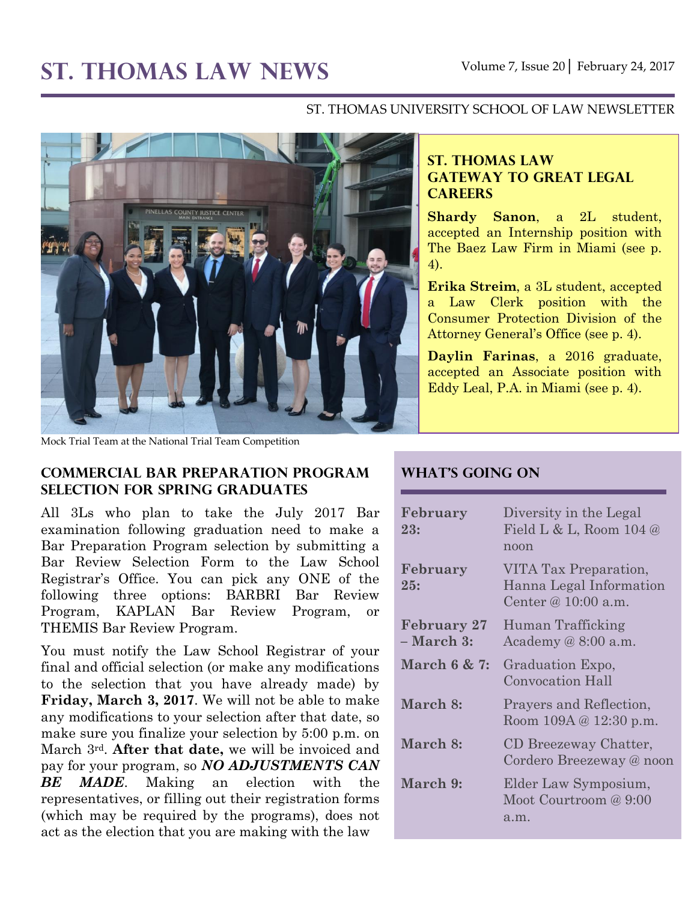# ST. THOMAS LAW NEWS Volume 7, Issue 20 February 24, 2017

#### ST. THOMAS UNIVERSITY SCHOOL OF LAW NEWSLETTER



Mock Trial Team at the National Trial Team Competition

#### **Commercial Bar Preparation program selection for Spring Graduates**

All 3Ls who plan to take the July 2017 Bar examination following graduation need to make a Bar Preparation Program selection by submitting a Bar Review Selection Form to the Law School Registrar's Office. You can pick any ONE of the following three options: BARBRI Bar Review Program, KAPLAN Bar Review Program, or THEMIS Bar Review Program.

You must notify the Law School Registrar of your final and official selection (or make any modifications to the selection that you have already made) by **Friday, March 3, 2017**. We will not be able to make any modifications to your selection after that date, so make sure you finalize your selection by 5:00 p.m. on March 3rd. **After that date,** we will be invoiced and pay for your program, so *NO ADJUSTMENTS CAN BE MADE*. Making an election with the representatives, or filling out their registration forms (which may be required by the programs), does not act as the election that you are making with the law

#### **ST. THOMAS LAW GATEWAY TO GREAT LEGAL CAREERS**

**Shardy Sanon**, a 2L student, accepted an Internship position with The Baez Law Firm in Miami (see p. 4).

**Erika Streim**, a 3L student, accepted a Law Clerk position with the Consumer Protection Division of the Attorney General's Office (see p. 4).

**Daylin Farinas**, a 2016 graduate, accepted an Associate position with Eddy Leal, P.A. in Miami (see p. 4).

#### **What's Going On**

| February<br>23:                  | Diversity in the Legal<br>Field L & L, Room $104 @$<br>noon               |
|----------------------------------|---------------------------------------------------------------------------|
| February<br>25:                  | VITA Tax Preparation,<br>Hanna Legal Information<br>Center @ $10:00$ a.m. |
| <b>February 27</b><br>– March 3: | Human Trafficking<br>Academy $@8:00$ a.m.                                 |
| March 6 & 7:                     | Graduation Expo,<br><b>Convocation Hall</b>                               |
| March 8:                         | Prayers and Reflection,<br>Room 109A @ 12:30 p.m.                         |
| March 8:                         | CD Breezeway Chatter,<br>Cordero Breezeway @ noon                         |
| March 9:                         | Elder Law Symposium,<br>Moot Courtroom @ 9:00<br>a.m.                     |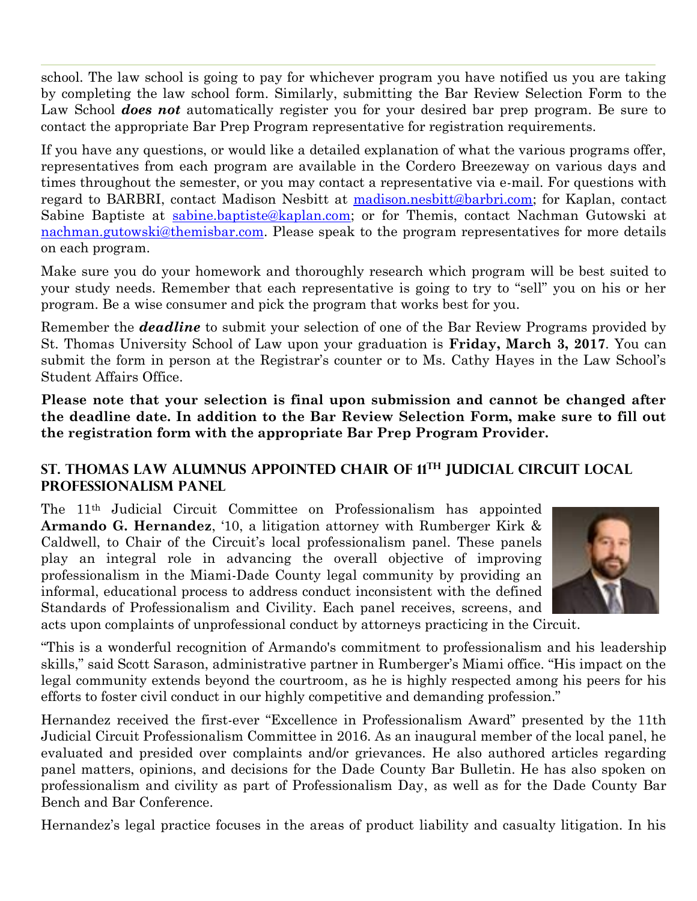school. The law school is going to pay for whichever program you have notified us you are taking by completing the law school form. Similarly, submitting the Bar Review Selection Form to the Law School *does not* automatically register you for your desired bar prep program. Be sure to contact the appropriate Bar Prep Program representative for registration requirements.

If you have any questions, or would like a detailed explanation of what the various programs offer, representatives from each program are available in the Cordero Breezeway on various days and times throughout the semester, or you may contact a representative via e-mail. For questions with regard to BARBRI, contact Madison Nesbitt at [madison.nesbitt@barbri.com;](mailto:madison.nesbitt@barbri.com) for Kaplan, contact Sabine Baptiste at [sabine.baptiste@kaplan.com;](mailto:sabine.baptiste@kaplan.com) or for Themis, contact Nachman Gutowski at [nachman.gutowski@themisbar.com.](mailto:nachman.gutowski@themisbar.com) Please speak to the program representatives for more details on each program.

Make sure you do your homework and thoroughly research which program will be best suited to your study needs. Remember that each representative is going to try to "sell" you on his or her program. Be a wise consumer and pick the program that works best for you.

Remember the *deadline* to submit your selection of one of the Bar Review Programs provided by St. Thomas University School of Law upon your graduation is **Friday, March 3, 2017**. You can submit the form in person at the Registrar's counter or to Ms. Cathy Hayes in the Law School's Student Affairs Office.

**Please note that your selection is final upon submission and cannot be changed after the deadline date. In addition to the Bar Review Selection Form, make sure to fill out the registration form with the appropriate Bar Prep Program Provider.**

#### **St. Thomas Law Alumnus Appointed Chair of 11th Judicial Circuit Local Professionalism Panel**

The 11th Judicial Circuit Committee on Professionalism has appointed **Armando G. Hernandez**, '10, a litigation attorney with Rumberger Kirk & Caldwell, to Chair of the Circuit's local professionalism panel. These panels play an integral role in advancing the overall objective of improving professionalism in the Miami-Dade County legal community by providing an informal, educational process to address conduct inconsistent with the defined Standards of Professionalism and Civility. Each panel receives, screens, and acts upon complaints of unprofessional conduct by attorneys practicing in the Circuit.



"This is a wonderful recognition of Armando's commitment to professionalism and his leadership skills," said Scott Sarason, administrative partner in Rumberger's Miami office. "His impact on the legal community extends beyond the courtroom, as he is highly respected among his peers for his efforts to foster civil conduct in our highly competitive and demanding profession."

Hernandez received the first-ever "Excellence in Professionalism Award" presented by the 11th Judicial Circuit Professionalism Committee in 2016. As an inaugural member of the local panel, he evaluated and presided over complaints and/or grievances. He also authored articles regarding panel matters, opinions, and decisions for the Dade County Bar Bulletin. He has also spoken on professionalism and civility as part of Professionalism Day, as well as for the Dade County Bar Bench and Bar Conference.

Hernandez's legal practice focuses in the areas of product liability and casualty litigation. In his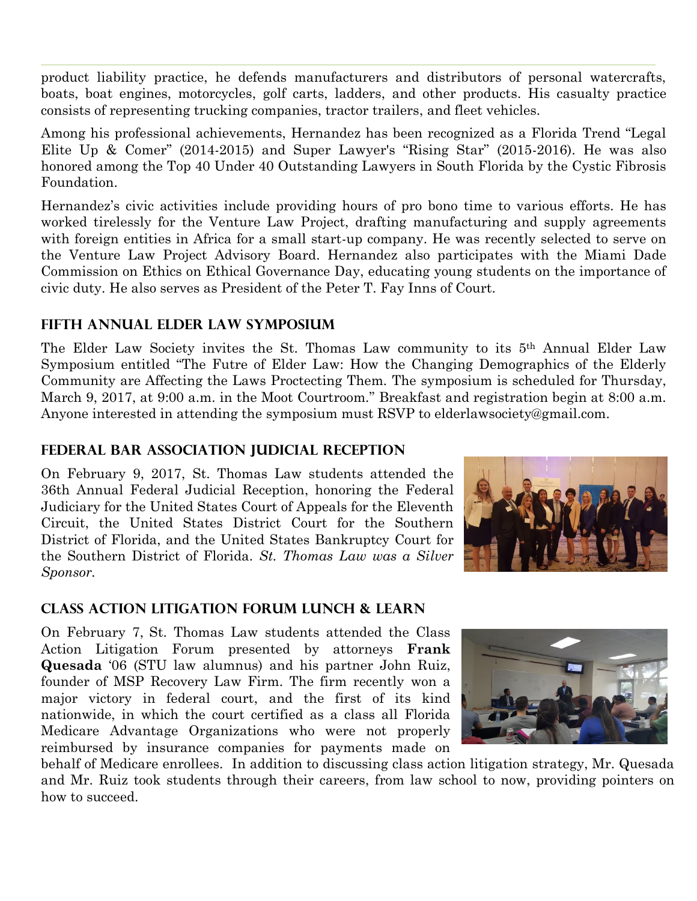product liability practice, he defends manufacturers and distributors of personal watercrafts, boats, boat engines, motorcycles, golf carts, ladders, and other products. His casualty practice consists of representing trucking companies, tractor trailers, and fleet vehicles.

Among his professional achievements, Hernandez has been recognized as a Florida Trend "Legal Elite Up & Comer" (2014-2015) and Super Lawyer's "Rising Star" (2015-2016). He was also honored among the Top 40 Under 40 Outstanding Lawyers in South Florida by the Cystic Fibrosis Foundation.

Hernandez's civic activities include providing hours of pro bono time to various efforts. He has worked tirelessly for the Venture Law Project, drafting manufacturing and supply agreements with foreign entities in Africa for a small start-up company. He was recently selected to serve on the Venture Law Project Advisory Board. Hernandez also participates with the Miami Dade Commission on Ethics on Ethical Governance Day, educating young students on the importance of civic duty. He also serves as President of the Peter T. Fay Inns of Court.

## **Fifth Annual Elder Law Symposium**

The Elder Law Society invites the St. Thomas Law community to its 5th Annual Elder Law Symposium entitled "The Futre of Elder Law: How the Changing Demographics of the Elderly Community are Affecting the Laws Proctecting Them. The symposium is scheduled for Thursday, March 9, 2017, at 9:00 a.m. in the Moot Courtroom." Breakfast and registration begin at 8:00 a.m. Anyone interested in attending the symposium must RSVP to elderlawsociety@gmail.com.

#### **Federal Bar Association Judicial Reception**

On February 9, 2017, St. Thomas Law students attended the 36th Annual Federal Judicial Reception, honoring the Federal Judiciary for the United States Court of Appeals for the Eleventh Circuit, the United States District Court for the Southern District of Florida, and the United States Bankruptcy Court for the Southern District of Florida. *St. Thomas Law was a Silver Sponsor.*



## **Class Action litigation Forum Lunch & Learn**

On February 7, St. Thomas Law students attended the Class Action Litigation Forum presented by attorneys **Frank Quesada** '06 (STU law alumnus) and his partner John Ruiz, founder of MSP Recovery Law Firm. The firm recently won a major victory in federal court, and the first of its kind nationwide, in which the court certified as a class all Florida Medicare Advantage Organizations who were not properly reimbursed by insurance companies for payments made on



behalf of Medicare enrollees. In addition to discussing class action litigation strategy, Mr. Quesada and Mr. Ruiz took students through their careers, from law school to now, providing pointers on how to succeed.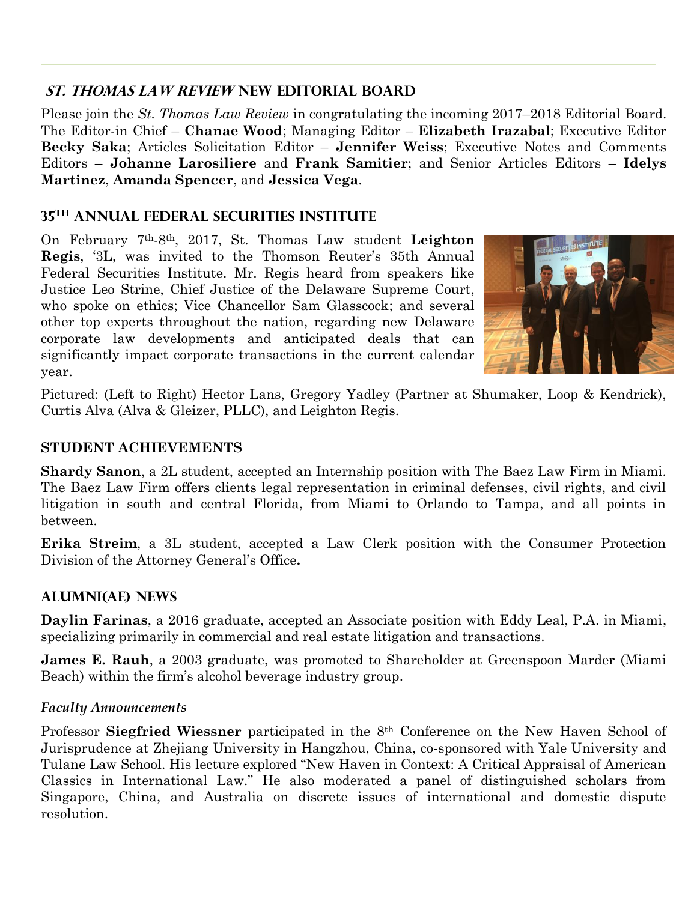## **St. Thomas Law Review New Editorial Board**

Please join the *St. Thomas Law Review* in congratulating the incoming 2017–2018 Editorial Board. The Editor-in Chief – **Chanae Wood**; Managing Editor – **Elizabeth Irazabal**; Executive Editor **Becky Saka**; Articles Solicitation Editor – **Jennifer Weiss**; Executive Notes and Comments Editors – **Johanne Larosiliere** and **Frank Samitier**; and Senior Articles Editors – **Idelys Martinez**, **Amanda Spencer**, and **Jessica Vega**.

# **35th Annual Federal Securities Institute**

On February 7th-8th, 2017, St. Thomas Law student **Leighton Regis**, '3L, was invited to the Thomson Reuter's 35th Annual Federal Securities Institute. Mr. Regis heard from speakers like Justice Leo Strine, Chief Justice of the Delaware Supreme Court, who spoke on ethics; Vice Chancellor Sam Glasscock; and several other top experts throughout the nation, regarding new Delaware corporate law developments and anticipated deals that can significantly impact corporate transactions in the current calendar year.



Pictured: (Left to Right) Hector Lans, Gregory Yadley (Partner at Shumaker, Loop & Kendrick), Curtis Alva (Alva & Gleizer, PLLC), and Leighton Regis.

#### **STUDENT ACHIEVEMENTS**

**Shardy Sanon**, a 2L student, accepted an Internship position with The Baez Law Firm in Miami. The Baez Law Firm offers clients legal representation in criminal defenses, civil rights, and civil litigation in south and central Florida, from Miami to Orlando to Tampa, and all points in between.

**Erika Streim**, a 3L student, accepted a Law Clerk position with the Consumer Protection Division of the Attorney General's Office**.**

# **ALUMNI(AE) NEWS**

**Daylin Farinas**, a 2016 graduate, accepted an Associate position with Eddy Leal, P.A. in Miami, specializing primarily in commercial and real estate litigation and transactions.

**James E. Rauh**, a 2003 graduate, was promoted to Shareholder at Greenspoon Marder (Miami Beach) within the firm's alcohol beverage industry group.

## *Faculty Announcements*

Professor **Siegfried Wiessner** participated in the 8th Conference on the New Haven School of Jurisprudence at Zhejiang University in Hangzhou, China, co-sponsored with Yale University and Tulane Law School. His lecture explored "New Haven in Context: A Critical Appraisal of American Classics in International Law." He also moderated a panel of distinguished scholars from Singapore, China, and Australia on discrete issues of international and domestic dispute resolution.